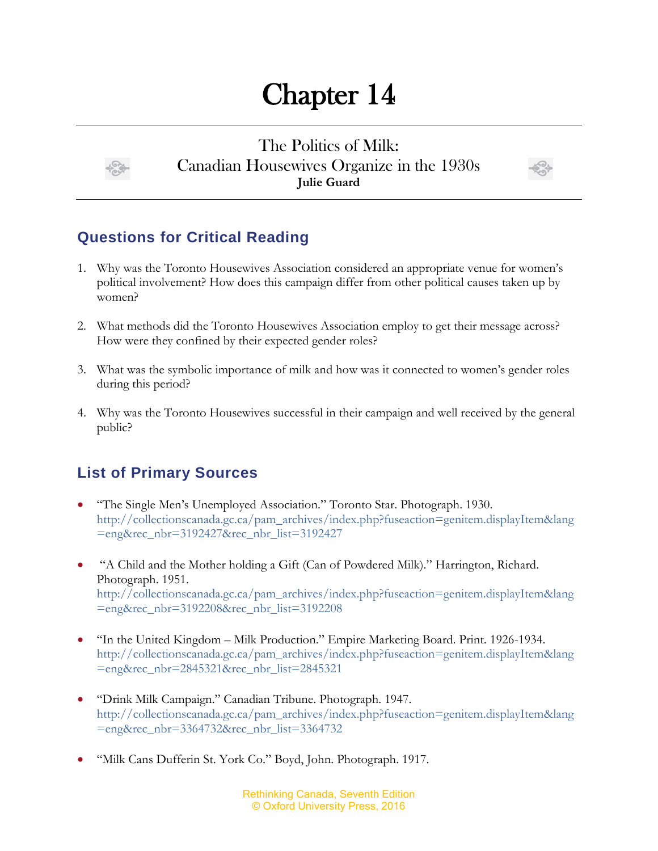## Chapter 14

The Politics of Milk: Canadian Housewives Organize in the 1930s **Julie Guard**



## **Questions for Critical Reading**

- 1. Why was the Toronto Housewives Association considered an appropriate venue for women's political involvement? How does this campaign differ from other political causes taken up by women?
- 2. What methods did the Toronto Housewives Association employ to get their message across? How were they confined by their expected gender roles?
- 3. What was the symbolic importance of milk and how was it connected to women's gender roles during this period?
- 4. Why was the Toronto Housewives successful in their campaign and well received by the general public?

## **List of Primary Sources**

- "The Single Men's Unemployed Association." Toronto Star. Photograph. 1930. [http://collectionscanada.gc.ca/pam\\_archives/index.php?fuseaction=genitem.displayItem&lang](http://collectionscanada.gc.ca/pam_archives/index.php?fuseaction=genitem.displayItem&lang=eng&rec_nbr=3192427&rec_nbr_list=3192427) [=eng&rec\\_nbr=3192427&rec\\_nbr\\_list=3192427](http://collectionscanada.gc.ca/pam_archives/index.php?fuseaction=genitem.displayItem&lang=eng&rec_nbr=3192427&rec_nbr_list=3192427)
- "A Child and the Mother holding a Gift (Can of Powdered Milk)." Harrington, Richard. Photograph. 1951. [http://collectionscanada.gc.ca/pam\\_archives/index.php?fuseaction=genitem.displayItem&lang](http://collectionscanada.gc.ca/pam_archives/index.php?fuseaction=genitem.displayItem&lang=eng&rec_nbr=3192208&rec_nbr_list=3192208) [=eng&rec\\_nbr=3192208&rec\\_nbr\\_list=3192208](http://collectionscanada.gc.ca/pam_archives/index.php?fuseaction=genitem.displayItem&lang=eng&rec_nbr=3192208&rec_nbr_list=3192208)
- "In the United Kingdom Milk Production." Empire Marketing Board. Print. 1926-1934. [http://collectionscanada.gc.ca/pam\\_archives/index.php?fuseaction=genitem.displayItem&lang](http://collectionscanada.gc.ca/pam_archives/index.php?fuseaction=genitem.displayItem&lang=eng&rec_nbr=2845321&rec_nbr_list=2845321) [=eng&rec\\_nbr=2845321&rec\\_nbr\\_list=2845321](http://collectionscanada.gc.ca/pam_archives/index.php?fuseaction=genitem.displayItem&lang=eng&rec_nbr=2845321&rec_nbr_list=2845321)
- "Drink Milk Campaign." Canadian Tribune. Photograph. 1947. [http://collectionscanada.gc.ca/pam\\_archives/index.php?fuseaction=genitem.displayItem&lang](http://collectionscanada.gc.ca/pam_archives/index.php?fuseaction=genitem.displayItem&lang=eng&rec_nbr=3364732&rec_nbr_list=3364732) [=eng&rec\\_nbr=3364732&rec\\_nbr\\_list=3364732](http://collectionscanada.gc.ca/pam_archives/index.php?fuseaction=genitem.displayItem&lang=eng&rec_nbr=3364732&rec_nbr_list=3364732)
- "Milk Cans Dufferin St. York Co." Boyd, John. Photograph. 1917.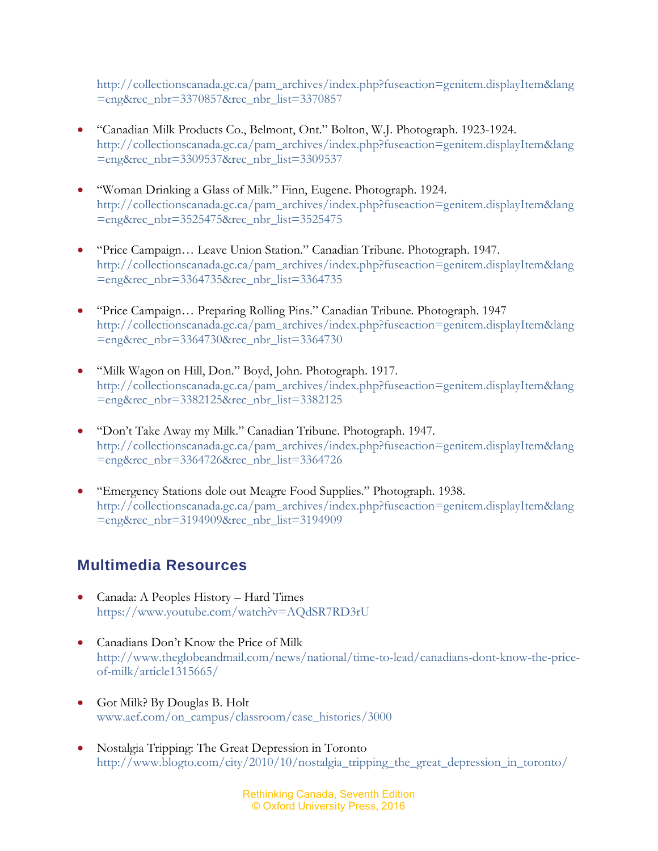[http://collectionscanada.gc.ca/pam\\_archives/index.php?fuseaction=genitem.displayItem&lang](http://collectionscanada.gc.ca/pam_archives/index.php?fuseaction=genitem.displayItem&lang=eng&rec_nbr=3370857&rec_nbr_list=3370857) [=eng&rec\\_nbr=3370857&rec\\_nbr\\_list=3370857](http://collectionscanada.gc.ca/pam_archives/index.php?fuseaction=genitem.displayItem&lang=eng&rec_nbr=3370857&rec_nbr_list=3370857)

- "Canadian Milk Products Co., Belmont, Ont." Bolton, W.J. Photograph. 1923-1924. [http://collectionscanada.gc.ca/pam\\_archives/index.php?fuseaction=genitem.displayItem&lang](http://collectionscanada.gc.ca/pam_archives/index.php?fuseaction=genitem.displayItem&lang=eng&rec_nbr=3309537&rec_nbr_list=3309537) [=eng&rec\\_nbr=3309537&rec\\_nbr\\_list=3309537](http://collectionscanada.gc.ca/pam_archives/index.php?fuseaction=genitem.displayItem&lang=eng&rec_nbr=3309537&rec_nbr_list=3309537)
- "Woman Drinking a Glass of Milk." Finn, Eugene. Photograph. 1924. [http://collectionscanada.gc.ca/pam\\_archives/index.php?fuseaction=genitem.displayItem&lang](http://collectionscanada.gc.ca/pam_archives/index.php?fuseaction=genitem.displayItem&lang=eng&rec_nbr=3525475&rec_nbr_list=3525475) [=eng&rec\\_nbr=3525475&rec\\_nbr\\_list=3525475](http://collectionscanada.gc.ca/pam_archives/index.php?fuseaction=genitem.displayItem&lang=eng&rec_nbr=3525475&rec_nbr_list=3525475)
- "Price Campaign… Leave Union Station." Canadian Tribune. Photograph. 1947. [http://collectionscanada.gc.ca/pam\\_archives/index.php?fuseaction=genitem.displayItem&lang](http://collectionscanada.gc.ca/pam_archives/index.php?fuseaction=genitem.displayItem&lang=eng&rec_nbr=3364735&rec_nbr_list=3364735) [=eng&rec\\_nbr=3364735&rec\\_nbr\\_list=3364735](http://collectionscanada.gc.ca/pam_archives/index.php?fuseaction=genitem.displayItem&lang=eng&rec_nbr=3364735&rec_nbr_list=3364735)
- "Price Campaign… Preparing Rolling Pins." Canadian Tribune. Photograph. 1947 [http://collectionscanada.gc.ca/pam\\_archives/index.php?fuseaction=genitem.displayItem&lang](http://collectionscanada.gc.ca/pam_archives/index.php?fuseaction=genitem.displayItem&lang=eng&rec_nbr=3364730&rec_nbr_list=3364730) [=eng&rec\\_nbr=3364730&rec\\_nbr\\_list=3364730](http://collectionscanada.gc.ca/pam_archives/index.php?fuseaction=genitem.displayItem&lang=eng&rec_nbr=3364730&rec_nbr_list=3364730)
- "Milk Wagon on Hill, Don." Boyd, John. Photograph. 1917. [http://collectionscanada.gc.ca/pam\\_archives/index.php?fuseaction=genitem.displayItem&lang](http://collectionscanada.gc.ca/pam_archives/index.php?fuseaction=genitem.displayItem&lang=eng&rec_nbr=3382125&rec_nbr_list=3382125) [=eng&rec\\_nbr=3382125&rec\\_nbr\\_list=3382125](http://collectionscanada.gc.ca/pam_archives/index.php?fuseaction=genitem.displayItem&lang=eng&rec_nbr=3382125&rec_nbr_list=3382125)
- "Don't Take Away my Milk." Canadian Tribune. Photograph. 1947. [http://collectionscanada.gc.ca/pam\\_archives/index.php?fuseaction=genitem.displayItem&lang](http://collectionscanada.gc.ca/pam_archives/index.php?fuseaction=genitem.displayItem&lang=eng&rec_nbr=3364726&rec_nbr_list=3364726) [=eng&rec\\_nbr=3364726&rec\\_nbr\\_list=3364726](http://collectionscanada.gc.ca/pam_archives/index.php?fuseaction=genitem.displayItem&lang=eng&rec_nbr=3364726&rec_nbr_list=3364726)
- "Emergency Stations dole out Meagre Food Supplies." Photograph. 1938. [http://collectionscanada.gc.ca/pam\\_archives/index.php?fuseaction=genitem.displayItem&lang](http://collectionscanada.gc.ca/pam_archives/index.php?fuseaction=genitem.displayItem&lang=eng&rec_nbr=3194909&rec_nbr_list=3194909) [=eng&rec\\_nbr=3194909&rec\\_nbr\\_list=3194909](http://collectionscanada.gc.ca/pam_archives/index.php?fuseaction=genitem.displayItem&lang=eng&rec_nbr=3194909&rec_nbr_list=3194909)

## **Multimedia Resources**

- Canada: A Peoples History Hard Times <https://www.youtube.com/watch?v=AQdSR7RD3rU>
- Canadians Don't Know the Price of Milk [http://www.theglobeandmail.com/news/national/time-to-lead/canadians-dont-know-the-price](http://www.theglobeandmail.com/news/national/time-to-lead/canadians-dont-know-the-price-of-milk/article1315665/)[of-milk/article1315665/](http://www.theglobeandmail.com/news/national/time-to-lead/canadians-dont-know-the-price-of-milk/article1315665/)
- Got Milk? By Douglas B. Holt [www.aef.com/on\\_campus/classroom/case\\_histories/3000](http://www.aef.com/on_campus/classroom/case_histories/3000)
- Nostalgia Tripping: The Great Depression in Toronto [http://www.blogto.com/city/2010/10/nostalgia\\_tripping\\_the\\_great\\_depression\\_in\\_toronto/](http://www.blogto.com/city/2010/10/nostalgia_tripping_the_great_depression_in_toronto/)

Rethinking Canada, Seventh Edition © Oxford University Press, 2016